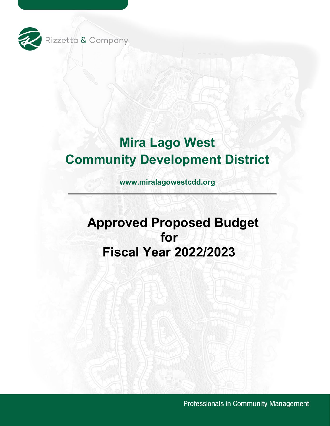

# **Mira Lago West Community Development District**

**www.miralagowestcdd.org**

# **Approved Proposed Budget for Fiscal Year 2022/2023**

Professionals in Community Management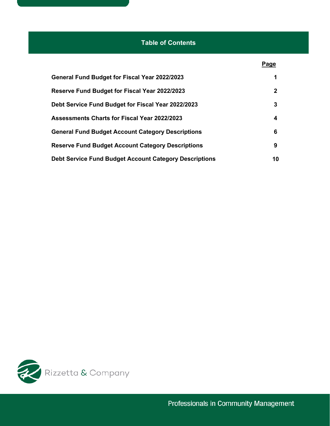## **Table of Contents**

|                                                               | Page         |
|---------------------------------------------------------------|--------------|
| <b>General Fund Budget for Fiscal Year 2022/2023</b>          | 1            |
| Reserve Fund Budget for Fiscal Year 2022/2023                 | $\mathbf{2}$ |
| Debt Service Fund Budget for Fiscal Year 2022/2023            | 3            |
| <b>Assessments Charts for Fiscal Year 2022/2023</b>           | 4            |
| <b>General Fund Budget Account Category Descriptions</b>      | 6            |
| <b>Reserve Fund Budget Account Category Descriptions</b>      | 9            |
| <b>Debt Service Fund Budget Account Category Descriptions</b> | 10           |

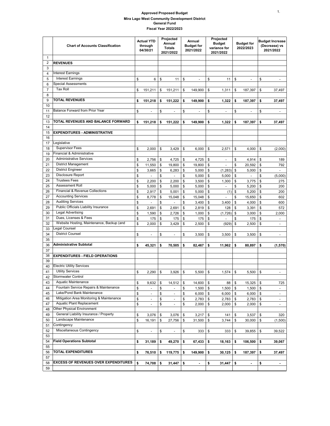#### **Approved Proposed Budget Mira Lago West Community Development District General Fund Fiscal Year 2022/2023**

|                | <b>Chart of Accounts Classification</b>                    | <b>Actual YTD</b><br>through<br>04/30/21 |                          | Projected<br>Annual<br><b>Totals</b><br>2021/2022 |                          | Annual<br><b>Budget for</b><br>2021/2022 |         | Projected<br><b>Budget</b><br>variance for<br>2021/2022 |                | <b>Budget for</b><br>2022/2023 |                | <b>Budget Increase</b><br>(Decrease) vs<br>2021/2022 |                          |
|----------------|------------------------------------------------------------|------------------------------------------|--------------------------|---------------------------------------------------|--------------------------|------------------------------------------|---------|---------------------------------------------------------|----------------|--------------------------------|----------------|------------------------------------------------------|--------------------------|
| 1              |                                                            |                                          |                          |                                                   |                          |                                          |         |                                                         |                |                                |                |                                                      |                          |
| $\overline{2}$ | <b>REVENUES</b>                                            |                                          |                          |                                                   |                          |                                          |         |                                                         |                |                                |                |                                                      |                          |
| 3              |                                                            |                                          |                          |                                                   |                          |                                          |         |                                                         |                |                                |                |                                                      |                          |
| 4              | <b>Interest Earnings</b>                                   |                                          |                          |                                                   |                          |                                          |         |                                                         |                |                                |                |                                                      |                          |
| 5              | <b>Interest Earnings</b>                                   | \$                                       | 6                        | \$                                                | 11                       | \$                                       |         | \$                                                      | 11             | \$                             |                | \$                                                   |                          |
| 6              | <b>Special Assessments</b>                                 |                                          |                          |                                                   |                          |                                          |         |                                                         |                |                                |                |                                                      |                          |
| $\overline{7}$ | <b>Tax Roll</b>                                            | \$                                       | 151,211                  | \$                                                | 151,211                  | \$                                       | 149,900 | \$                                                      | 1,311          | \$                             | 187,397        | \$                                                   | 37,497                   |
| 8              | <b>TOTAL REVENUES</b>                                      |                                          |                          |                                                   |                          |                                          |         |                                                         |                |                                |                |                                                      |                          |
| 9              |                                                            | \$                                       | 151,218                  | \$                                                | 151,222                  | \$                                       | 149.900 | \$                                                      | 1,322          | \$                             | 187,397        | \$                                                   | 37,497                   |
| 10<br>11       | Balance Forward from Prior Year                            |                                          | ÷.                       |                                                   | ÷                        |                                          |         |                                                         | ÷.             |                                |                |                                                      | ÷,                       |
| 12             |                                                            | \$                                       |                          | \$                                                |                          | \$                                       |         | \$                                                      |                | \$                             |                | \$                                                   |                          |
| 13             | TOTAL REVENUES AND BALANCE FORWARD                         | \$                                       | 151,218                  | \$                                                | 151,222                  | \$                                       | 149,900 | \$                                                      | 1,322          | \$                             | 187,397        | \$                                                   | 37,497                   |
| 14             |                                                            |                                          |                          |                                                   |                          |                                          |         |                                                         |                |                                |                |                                                      |                          |
| 15             | <b>EXPENDITURES - ADMINISTRATIVE</b>                       |                                          |                          |                                                   |                          |                                          |         |                                                         |                |                                |                |                                                      |                          |
| 16             |                                                            |                                          |                          |                                                   |                          |                                          |         |                                                         |                |                                |                |                                                      |                          |
| 17             | Legislative                                                |                                          |                          |                                                   |                          |                                          |         |                                                         |                |                                |                |                                                      |                          |
| 18             | <b>Supervisor Fees</b>                                     | \$                                       | 2,000                    | \$                                                | 3,429                    | \$                                       | 6,000   | \$                                                      | 2,571          | \$                             | 4,000          | \$                                                   | (2,000)                  |
| 19             | Financial & Administrative                                 |                                          |                          |                                                   |                          |                                          |         |                                                         |                |                                |                |                                                      |                          |
| 20             | <b>Administrative Services</b>                             | \$                                       | 2,756                    | \$                                                | 4,725                    | \$                                       | 4,725   | \$                                                      | $\blacksquare$ | \$                             | 4,914          | \$                                                   | 189                      |
| 21             | <b>District Management</b>                                 | \$                                       | 11,550                   | \$                                                | 19,800                   | \$                                       | 19,800  | \$                                                      |                | \$                             | 20,592         | \$                                                   | 792                      |
| 22             | <b>District Engineer</b>                                   | \$                                       | 3,665                    | \$                                                | 6,283                    | \$                                       | 5,000   | \$                                                      | (1, 283)       | \$                             | 5,000          | \$                                                   | L.                       |
| 23             | Disclosure Report                                          | \$                                       | ÷,                       | \$                                                | $\overline{a}$           | \$                                       | 5,000   | \$                                                      | 5,000          | \$                             | $\overline{a}$ | \$                                                   | (5,000)                  |
| 24             | <b>Trustees Fees</b>                                       | \$                                       | 2,200                    | \$                                                | 2,200                    | \$                                       | 3,500   | \$                                                      | 1,300          | \$                             | 3,775          | \$                                                   | 275                      |
| 25             | <b>Assessment Roll</b>                                     | \$                                       | 5,000                    | \$                                                | 5,000                    | \$                                       | 5,000   | \$                                                      |                | \$                             | 5,200          | \$                                                   | 200                      |
| 26             | Financial & Revenue Collections                            | \$                                       | 2,917                    | \$                                                | 5,001                    | \$                                       | 5,000   | \$                                                      | (1)            | \$                             | 5,200          | \$                                                   | 200                      |
| 27             | <b>Accounting Services</b>                                 | \$                                       | 8,778                    | \$                                                | 15,048                   | \$                                       | 15,048  | \$                                                      |                | \$                             | 15,650         | \$                                                   | 602                      |
| 28             | <b>Auditing Services</b>                                   | \$                                       |                          | \$                                                | ÷,                       | \$                                       | 3,400   | \$                                                      | 3,400          | \$                             | 4,000          | \$                                                   | 600                      |
| 29             | Public Officials Liability Insurance                       | \$                                       | 2,691                    | \$                                                | 2,691                    | \$                                       | 2,819   | \$                                                      | 128            | \$                             | 3,391          | \$                                                   | 572                      |
| 30             | <b>Legal Advertising</b>                                   | \$                                       | 1,590                    | \$                                                | 2,726                    | \$                                       | 1,000   | \$                                                      | (1,726)        | \$                             | 3,000          | \$                                                   | 2,000                    |
| 31             | Dues, Licenses & Fees                                      | \$                                       | 175                      | \$                                                | 175                      | \$                                       | 175     | \$                                                      |                | \$                             | 175            | \$                                                   | $\overline{\phantom{a}}$ |
| 32             | Website Hosting, Maintenance, Backup (and<br>Legal Counsel | \$                                       | 2,000                    | \$                                                | 3,429                    | \$                                       | 2,500   | \$                                                      | (929)          | \$                             | 2,500          | \$                                                   | $\overline{\phantom{a}}$ |
| 33             | <b>District Counsel</b>                                    |                                          |                          |                                                   |                          |                                          |         |                                                         |                |                                |                |                                                      |                          |
| 34<br>35       |                                                            | \$                                       | ÷                        | \$                                                | ÷,                       | \$                                       | 3,500   | \$                                                      | 3,500          | \$                             | 3,500          | \$                                                   | $\overline{\phantom{a}}$ |
| 36             | <b>Administrative Subtotal</b>                             | \$                                       | 45,321                   | \$                                                | 70,505                   | \$                                       |         | \$                                                      | 11,962         | \$                             | 80,897         | \$                                                   |                          |
| 37             |                                                            |                                          |                          |                                                   |                          |                                          | 82,467  |                                                         |                |                                |                |                                                      | (1,570)                  |
| 38             | <b>EXPENDITURES - FIELD OPERATIONS</b>                     |                                          |                          |                                                   |                          |                                          |         |                                                         |                |                                |                |                                                      |                          |
| 39             |                                                            |                                          |                          |                                                   |                          |                                          |         |                                                         |                |                                |                |                                                      |                          |
| 40             | <b>Electric Utility Services</b>                           |                                          |                          |                                                   |                          |                                          |         |                                                         |                |                                |                |                                                      |                          |
| 41             | <b>Utility Services</b>                                    | \$                                       | 2,290                    | \$                                                | 3,926                    | \$                                       | 5,500   | \$                                                      | 1,574          | \$                             | 5,500          | \$                                                   | ÷                        |
| 42             | Stormwater Control                                         |                                          |                          |                                                   |                          |                                          |         |                                                         |                |                                |                |                                                      |                          |
| 43             | Aquatic Maintenance                                        | \$                                       | 9,632                    | \$                                                | 14,512                   | \$                                       | 14,600  | \$                                                      | 88             | \$                             | 15,325         | \$                                                   | 725                      |
| 44             | Fountain Service Repairs & Maintenance                     | \$                                       | $\blacksquare$           | \$                                                |                          | \$                                       | 1,500   | \$                                                      | 1,500          | \$                             | 1,500          | \$                                                   | $\overline{\phantom{a}}$ |
| 45             | Lake/Pond Bank Maintenance                                 | \$                                       | $\blacksquare$           | \$                                                | $\blacksquare$           | \$                                       | 6,000   | \$                                                      | 6,000          | \$                             | 6,000          | \$                                                   | $\sim$                   |
| 46             | Mitigation Area Monitoring & Maintenance                   | \$                                       | $\blacksquare$           | \$                                                | $\centerdot$             | \$                                       | 2,783   | \$                                                      | 2,783          | \$                             | 2,783          | \$                                                   | $\overline{\phantom{a}}$ |
| 47             | Aquatic Plant Replacement                                  | \$                                       | $\overline{\phantom{a}}$ | \$                                                | ÷,                       | \$                                       | 2,000   | \$                                                      | 2,000          | \$                             | 2,000          | \$                                                   | $\overline{\phantom{a}}$ |
| 48             | Other Physical Environment                                 |                                          |                          |                                                   |                          |                                          |         |                                                         |                |                                |                |                                                      |                          |
| 49             | General Liability Insurance / Property                     | \$                                       | 3,076                    | \$                                                | 3,076                    | \$                                       | 3,217   | \$                                                      | 141            | \$                             | 3,537          | \$                                                   | 320                      |
| 50             | Landscape Maintenance                                      | \$                                       | 16,191                   | \$                                                | 27,756                   | \$                                       | 31,500  | \$                                                      | 3,744          | \$                             | 30,000         | \$                                                   | (1,500)                  |
| 51             | Contingency                                                |                                          |                          |                                                   |                          |                                          |         |                                                         |                |                                |                |                                                      |                          |
| 52             | Miscellaneous Contingency                                  | \$                                       | $\blacksquare$           | \$                                                | $\overline{\phantom{a}}$ | \$                                       | 333     | \$                                                      | 333            | \$                             | 39,855         | \$                                                   | 39,522                   |
| 53             |                                                            |                                          |                          |                                                   |                          |                                          |         |                                                         |                |                                |                |                                                      |                          |
| 54             | <b>Field Operations Subtotal</b>                           | \$                                       | 31,189                   | \$                                                | 49,270                   | \$                                       | 67,433  | \$                                                      | 18,163         | \$                             | 106,500        | \$                                                   | 39,067                   |
| 55             |                                                            |                                          |                          |                                                   |                          |                                          |         |                                                         |                |                                |                |                                                      |                          |
| 56             | <b>TOTAL EXPENDITURES</b>                                  | \$                                       | 76,510                   | \$                                                | 119,775                  | \$                                       | 149,900 | \$                                                      | 30,125         | \$                             | 187,397        | \$                                                   | 37,497                   |
| 57             |                                                            |                                          |                          |                                                   |                          |                                          |         |                                                         |                |                                |                |                                                      |                          |
| 58             | <b>EXCESS OF REVENUES OVER EXPENDITURES</b>                | \$                                       | 74,708                   | \$                                                | 31,447                   | \$                                       | ٠       | \$                                                      | 31,447         | \$                             |                | \$                                                   | $\overline{\phantom{a}}$ |
| 59             |                                                            |                                          |                          |                                                   |                          |                                          |         |                                                         |                |                                |                |                                                      |                          |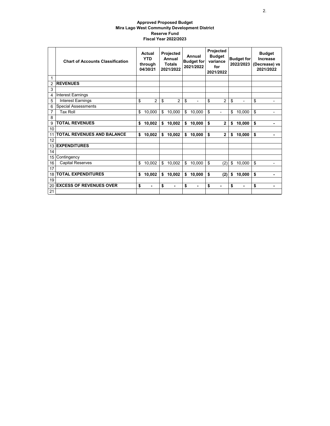#### **Approved Proposed Budget Mira Lago West Community Development District Reserve Fund Fiscal Year 2022/2023**

|    | <b>Chart of Accounts Classification</b> | Actual<br><b>YTD</b><br>through<br>04/30/21 | Projected<br>Annual<br><b>Totals</b><br>2021/2022 |                | Annual<br><b>Budget for</b><br>2021/2022 |        | Projected<br><b>Budget</b><br>variance<br>for<br>2021/2022 |                          | <b>Budget for</b><br>2022/2023 |                | <b>Budget</b><br>Increase<br>(Decrease) vs<br>2021/2022 |
|----|-----------------------------------------|---------------------------------------------|---------------------------------------------------|----------------|------------------------------------------|--------|------------------------------------------------------------|--------------------------|--------------------------------|----------------|---------------------------------------------------------|
| 1  |                                         |                                             |                                                   |                |                                          |        |                                                            |                          |                                |                |                                                         |
| 2  | <b>REVENUES</b>                         |                                             |                                                   |                |                                          |        |                                                            |                          |                                |                |                                                         |
| 3  |                                         |                                             |                                                   |                |                                          |        |                                                            |                          |                                |                |                                                         |
| 4  | Interest Earnings                       |                                             |                                                   |                |                                          |        |                                                            |                          |                                |                |                                                         |
| 5  | <b>Interest Earnings</b>                | \$<br>$\overline{2}$                        | \$                                                | 2              | \$                                       |        | \$                                                         | $\overline{2}$           | \$                             | $\overline{a}$ | \$                                                      |
| 6  | <b>Special Assessments</b>              |                                             |                                                   |                |                                          |        |                                                            |                          |                                |                |                                                         |
| 7  | <b>Tax Roll</b>                         | \$<br>10,000                                | \$                                                | 10,000         | \$                                       | 10,000 | \$                                                         | $\overline{\phantom{0}}$ | \$                             | 10,000         | \$                                                      |
| 8  |                                         |                                             |                                                   |                |                                          |        |                                                            |                          |                                |                |                                                         |
| 9  | <b>TOTAL REVENUES</b>                   | \$<br>10,002                                | \$                                                | 10,002         | \$                                       | 10,000 | \$                                                         | $\overline{2}$           | \$                             | 10,000         | \$                                                      |
| 10 |                                         |                                             |                                                   |                |                                          |        |                                                            |                          |                                |                |                                                         |
| 11 | <b>TOTAL REVENUES AND BALANCE</b>       | \$<br>10,002                                | \$                                                | 10,002         | \$                                       | 10,000 | \$                                                         | $\mathbf{2}$             | \$                             | 10,000         | \$                                                      |
| 12 |                                         |                                             |                                                   |                |                                          |        |                                                            |                          |                                |                |                                                         |
| 13 | <b>EXPENDITURES</b>                     |                                             |                                                   |                |                                          |        |                                                            |                          |                                |                |                                                         |
| 14 |                                         |                                             |                                                   |                |                                          |        |                                                            |                          |                                |                |                                                         |
| 15 | Contingency                             |                                             |                                                   |                |                                          |        |                                                            |                          |                                |                |                                                         |
| 16 | <b>Capital Reserves</b>                 | \$<br>10,002                                | \$                                                | 10,002         | \$                                       | 10,000 | \$                                                         | (2)                      | \$                             | 10,000         | \$                                                      |
| 17 |                                         |                                             |                                                   |                |                                          |        |                                                            |                          |                                |                |                                                         |
| 18 | <b>TOTAL EXPENDITURES</b>               | \$<br>10,002                                | \$                                                | 10,002         | \$                                       | 10,000 | \$                                                         | (2)                      | \$                             | 10,000         | \$                                                      |
| 19 |                                         |                                             |                                                   |                |                                          |        |                                                            |                          |                                |                |                                                         |
| 20 | <b>EXCESS OF REVENUES OVER</b>          | \$                                          | \$                                                | $\blacksquare$ | \$                                       | ۰      | \$                                                         | $\blacksquare$           | \$                             | $\blacksquare$ | \$                                                      |
| 21 |                                         |                                             |                                                   |                |                                          |        |                                                            |                          |                                |                |                                                         |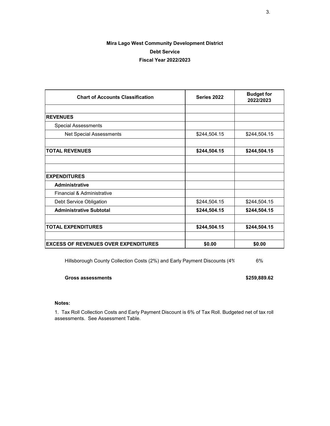### **Mira Lago West Community Development District Debt Service Fiscal Year 2022/2023**

| <b>Chart of Accounts Classification</b>     | Series 2022  | <b>Budget for</b><br>2022/2023 |
|---------------------------------------------|--------------|--------------------------------|
|                                             |              |                                |
| <b>REVENUES</b>                             |              |                                |
| <b>Special Assessments</b>                  |              |                                |
| Net Special Assessments                     | \$244,504.15 | \$244,504.15                   |
|                                             |              |                                |
| <b>TOTAL REVENUES</b>                       | \$244,504.15 | \$244,504.15                   |
|                                             |              |                                |
|                                             |              |                                |
| <b>EXPENDITURES</b>                         |              |                                |
| <b>Administrative</b>                       |              |                                |
| Financial & Administrative                  |              |                                |
| Debt Service Obligation                     | \$244,504.15 | \$244,504.15                   |
| <b>Administrative Subtotal</b>              | \$244,504.15 | \$244,504.15                   |
|                                             |              |                                |
| <b>TOTAL EXPENDITURES</b>                   | \$244,504.15 | \$244,504.15                   |
|                                             |              |                                |
| <b>EXCESS OF REVENUES OVER EXPENDITURES</b> | \$0.00       | \$0.00                         |

Hillsborough County Collection Costs (2%) and Early Payment Discounts (4% 6%

#### **Gross assessments \$259,889.62**

#### **Notes:**

1. Tax Roll Collection Costs and Early Payment Discount is 6% of Tax Roll. Budgeted net of tax roll assessments. See Assessment Table.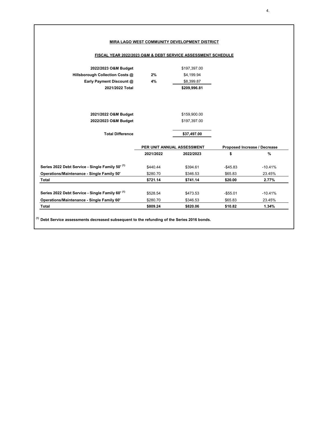| FISCAL YEAR 2022/2023 O&M & DEBT SERVICE ASSESSMENT SCHEDULE                                                                                                                                              |           |                            |                              |                     |
|-----------------------------------------------------------------------------------------------------------------------------------------------------------------------------------------------------------|-----------|----------------------------|------------------------------|---------------------|
| 2022/2023 O&M Budget                                                                                                                                                                                      |           | \$197,397.00               |                              |                     |
| Hillsborough Collection Costs @                                                                                                                                                                           | 2%        | \$4,199.94                 |                              |                     |
| Early Payment Discount @                                                                                                                                                                                  | 4%        | \$8,399.87                 |                              |                     |
| 2021/2022 Total                                                                                                                                                                                           |           | \$209,996.81               |                              |                     |
|                                                                                                                                                                                                           |           |                            |                              |                     |
| 2021/2022 O&M Budget                                                                                                                                                                                      |           | \$159,900.00               |                              |                     |
| 2022/2023 O&M Budget                                                                                                                                                                                      |           | \$197,397.00               |                              |                     |
| <b>Total Difference</b>                                                                                                                                                                                   |           | \$37,497.00                |                              |                     |
|                                                                                                                                                                                                           |           | PER UNIT ANNUAL ASSESSMENT | Proposed Increase / Decrease |                     |
|                                                                                                                                                                                                           | 2021/2022 | 2022/2023                  | \$                           | %                   |
|                                                                                                                                                                                                           |           |                            |                              |                     |
|                                                                                                                                                                                                           | \$440.44  | \$394.61                   | $-$45.83$                    |                     |
|                                                                                                                                                                                                           | \$280.70  | \$346.53                   | \$65.83                      | $-10.41%$<br>23.45% |
|                                                                                                                                                                                                           | \$721.14  | \$741.14                   | \$20.00                      | 2.77%               |
|                                                                                                                                                                                                           | \$528.54  | \$473.53                   | $-$ \$55.01                  |                     |
| Series 2022 Debt Service - Single Family 50' (1)<br>Operations/Maintenance - Single Family 50'<br>Total<br>Series 2022 Debt Service - Single Family 60' (1)<br>Operations/Maintenance - Single Family 60' | \$280.70  | \$346.53                   | \$65.83                      | $-10.41%$<br>23.45% |

**(1) Debt Service assessments decreased subsequent to the refunding of the Series 2016 bonds.**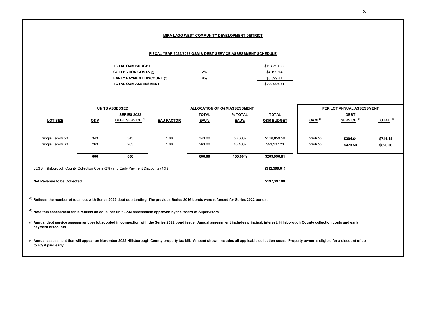#### **MIRA LAGO WEST COMMUNITY DEVELOPMENT DISTRICT**

#### **FISCAL YEAR 2022/2023 O&M & DEBT SERVICE ASSESSMENT SCHEDULE**

| <b>TOTAL O&amp;M BUDGET</b>     |    | \$197.397.00 |
|---------------------------------|----|--------------|
| COLLECTION COSTS @              | 2% | \$4.199.94   |
| <b>EARLY PAYMENT DISCOUNT @</b> | 4% | \$8,399.87   |
| <b>TOTAL O&amp;M ASSESSMENT</b> |    | \$209.996.81 |

|                                                                                  |                | <b>UNITS ASSESSED</b>   |                   |              | ALLOCATION OF O&M ASSESSMENT |                       | PER LOT ANNUAL ASSESSMENT |                        |                        |  |  |
|----------------------------------------------------------------------------------|----------------|-------------------------|-------------------|--------------|------------------------------|-----------------------|---------------------------|------------------------|------------------------|--|--|
|                                                                                  |                | <b>SERIES 2022</b>      |                   | <b>TOTAL</b> | % TOTAL                      | <b>TOTAL</b>          |                           | <b>DEBT</b>            |                        |  |  |
| <b>LOT SIZE</b>                                                                  | <b>O&amp;M</b> | <b>DEBT SERVICE (1)</b> | <b>EAU FACTOR</b> | EAU's        | EAU's                        | <b>O&amp;M BUDGET</b> | O&M <sup>(2)</sup>        | SERVICE <sup>(3)</sup> | $TOTAL$ <sup>(4)</sup> |  |  |
|                                                                                  |                |                         |                   |              |                              |                       |                           |                        |                        |  |  |
|                                                                                  |                |                         |                   |              |                              |                       |                           |                        |                        |  |  |
| Single Family 50'                                                                | 343            | 343                     | 1.00              | 343.00       | 56.60%                       | \$118,859.58          | \$346.53                  | \$394.61               | \$741.14               |  |  |
| Single Family 60'                                                                | 263            | 263                     | 1.00              | 263.00       | 43.40%                       | \$91,137.23           | \$346.53                  | \$473.53               | \$820.06               |  |  |
|                                                                                  |                |                         |                   |              |                              |                       |                           |                        |                        |  |  |
|                                                                                  | 606            | 606                     |                   | 606.00       | 100.00%                      | \$209,996.81          |                           |                        |                        |  |  |
|                                                                                  |                |                         |                   |              |                              |                       |                           |                        |                        |  |  |
| LESS: Hillsborough County Collection Costs (2%) and Early Payment Discounts (4%) |                |                         |                   |              |                              | (\$12,599.81)         |                           |                        |                        |  |  |
|                                                                                  |                |                         |                   |              |                              |                       |                           |                        |                        |  |  |
| Net Revenue to be Collected                                                      |                |                         |                   |              |                              | \$197,397.00          |                           |                        |                        |  |  |
|                                                                                  |                |                         |                   |              |                              |                       |                           |                        |                        |  |  |

**(1) Reflects the number of total lots with Series 2022 debt outstanding. The previous Series 2016 bonds were refunded for Series 2022 bonds.**

**(2) Note this assessment table reflects an equal per unit O&M assessment approved by the Board of Supervisors.**

**(3) Annual debt service assessment per lot adopted in connection with the Series 2022 bond issue. Annual assessment includes principal, interest, Hillsborough County collection costs and early payment discounts.**

**(4) Annual assessment that will appear on November 2022 Hillsborough County property tax bill. Amount shown includes all applicable collection costs. Property owner is eligible for a discount of up to 4% if paid early.**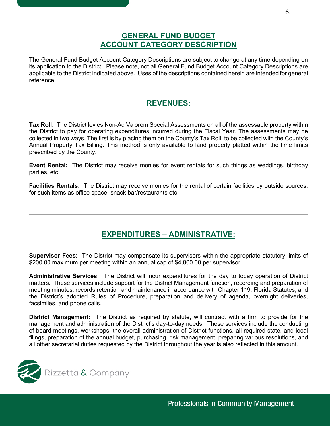## **GENERAL FUND BUDGET ACCOUNT CATEGORY DESCRIPTION**

The General Fund Budget Account Category Descriptions are subject to change at any time depending on its application to the District. Please note, not all General Fund Budget Account Category Descriptions are applicable to the District indicated above. Uses of the descriptions contained herein are intended for general reference.

## **REVENUES:**

**Tax Roll:** The District levies Non-Ad Valorem Special Assessments on all of the assessable property within the District to pay for operating expenditures incurred during the Fiscal Year. The assessments may be collected in two ways. The first is by placing them on the County's Tax Roll, to be collected with the County's Annual Property Tax Billing. This method is only available to land properly platted within the time limits prescribed by the County.

**Event Rental:** The District may receive monies for event rentals for such things as weddings, birthday parties, etc.

**Facilities Rentals:** The District may receive monies for the rental of certain facilities by outside sources, for such items as office space, snack bar/restaurants etc.

# **EXPENDITURES – ADMINISTRATIVE:**

**Supervisor Fees:** The District may compensate its supervisors within the appropriate statutory limits of \$200.00 maximum per meeting within an annual cap of \$4,800.00 per supervisor.

**Administrative Services:** The District will incur expenditures for the day to today operation of District matters. These services include support for the District Management function, recording and preparation of meeting minutes, records retention and maintenance in accordance with Chapter 119, Florida Statutes, and the District's adopted Rules of Procedure, preparation and delivery of agenda, overnight deliveries, facsimiles, and phone calls.

**District Management:** The District as required by statute, will contract with a firm to provide for the management and administration of the District's day-to-day needs. These services include the conducting of board meetings, workshops, the overall administration of District functions, all required state, and local filings, preparation of the annual budget, purchasing, risk management, preparing various resolutions, and all other secretarial duties requested by the District throughout the year is also reflected in this amount.

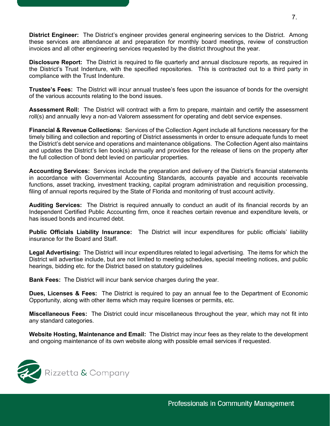**District Engineer:** The District's engineer provides general engineering services to the District. Among these services are attendance at and preparation for monthly board meetings, review of construction invoices and all other engineering services requested by the district throughout the year.

**Disclosure Report:** The District is required to file quarterly and annual disclosure reports, as required in the District's Trust Indenture, with the specified repositories. This is contracted out to a third party in compliance with the Trust Indenture.

**Trustee's Fees:** The District will incur annual trustee's fees upon the issuance of bonds for the oversight of the various accounts relating to the bond issues.

**Assessment Roll:** The District will contract with a firm to prepare, maintain and certify the assessment roll(s) and annually levy a non-ad Valorem assessment for operating and debt service expenses.

**Financial & Revenue Collections:** Services of the Collection Agent include all functions necessary for the timely billing and collection and reporting of District assessments in order to ensure adequate funds to meet the District's debt service and operations and maintenance obligations. The Collection Agent also maintains and updates the District's lien book(s) annually and provides for the release of liens on the property after the full collection of bond debt levied on particular properties.

**Accounting Services:** Services include the preparation and delivery of the District's financial statements in accordance with Governmental Accounting Standards, accounts payable and accounts receivable functions, asset tracking, investment tracking, capital program administration and requisition processing, filing of annual reports required by the State of Florida and monitoring of trust account activity.

**Auditing Services:** The District is required annually to conduct an audit of its financial records by an Independent Certified Public Accounting firm, once it reaches certain revenue and expenditure levels, or has issued bonds and incurred debt.

**Public Officials Liability Insurance:** The District will incur expenditures for public officials' liability insurance for the Board and Staff.

**Legal Advertising:** The District will incur expenditures related to legal advertising. The items for which the District will advertise include, but are not limited to meeting schedules, special meeting notices, and public hearings, bidding etc. for the District based on statutory guidelines

**Bank Fees:** The District will incur bank service charges during the year.

**Dues, Licenses & Fees:** The District is required to pay an annual fee to the Department of Economic Opportunity, along with other items which may require licenses or permits, etc.

**Miscellaneous Fees:** The District could incur miscellaneous throughout the year, which may not fit into any standard categories.

**Website Hosting, Maintenance and Email:** The District may incur fees as they relate to the development and ongoing maintenance of its own website along with possible email services if requested.

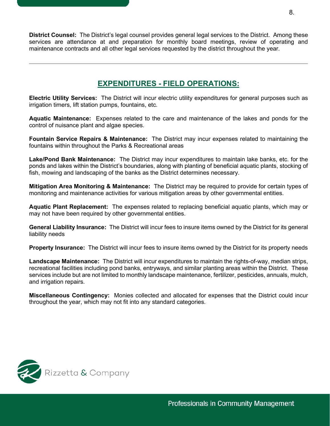**District Counsel:** The District's legal counsel provides general legal services to the District. Among these services are attendance at and preparation for monthly board meetings, review of operating and maintenance contracts and all other legal services requested by the district throughout the year.

# **EXPENDITURES - FIELD OPERATIONS:**

**Electric Utility Services:** The District will incur electric utility expenditures for general purposes such as irrigation timers, lift station pumps, fountains, etc.

**Aquatic Maintenance:** Expenses related to the care and maintenance of the lakes and ponds for the control of nuisance plant and algae species.

**Fountain Service Repairs & Maintenance:** The District may incur expenses related to maintaining the fountains within throughout the Parks & Recreational areas

**Lake/Pond Bank Maintenance:** The District may incur expenditures to maintain lake banks, etc. for the ponds and lakes within the District's boundaries, along with planting of beneficial aquatic plants, stocking of fish, mowing and landscaping of the banks as the District determines necessary.

**Mitigation Area Monitoring & Maintenance:** The District may be required to provide for certain types of monitoring and maintenance activities for various mitigation areas by other governmental entities.

**Aquatic Plant Replacement:** The expenses related to replacing beneficial aquatic plants, which may or may not have been required by other governmental entities.

**General Liability Insurance:** The District will incur fees to insure items owned by the District for its general liability needs

**Property Insurance:** The District will incur fees to insure items owned by the District for its property needs

**Landscape Maintenance:** The District will incur expenditures to maintain the rights-of-way, median strips, recreational facilities including pond banks, entryways, and similar planting areas within the District. These services include but are not limited to monthly landscape maintenance, fertilizer, pesticides, annuals, mulch, and irrigation repairs.

**Miscellaneous Contingency:** Monies collected and allocated for expenses that the District could incur throughout the year, which may not fit into any standard categories.

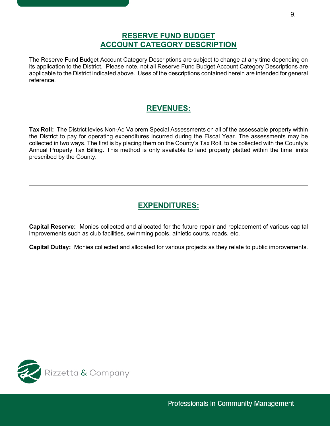## **RESERVE FUND BUDGET ACCOUNT CATEGORY DESCRIPTION**

The Reserve Fund Budget Account Category Descriptions are subject to change at any time depending on its application to the District. Please note, not all Reserve Fund Budget Account Category Descriptions are applicable to the District indicated above. Uses of the descriptions contained herein are intended for general reference.

# **REVENUES:**

**Tax Roll:** The District levies Non-Ad Valorem Special Assessments on all of the assessable property within the District to pay for operating expenditures incurred during the Fiscal Year. The assessments may be collected in two ways. The first is by placing them on the County's Tax Roll, to be collected with the County's Annual Property Tax Billing. This method is only available to land properly platted within the time limits prescribed by the County.

# **EXPENDITURES:**

**Capital Reserve:** Monies collected and allocated for the future repair and replacement of various capital improvements such as club facilities, swimming pools, athletic courts, roads, etc.

**Capital Outlay:** Monies collected and allocated for various projects as they relate to public improvements.